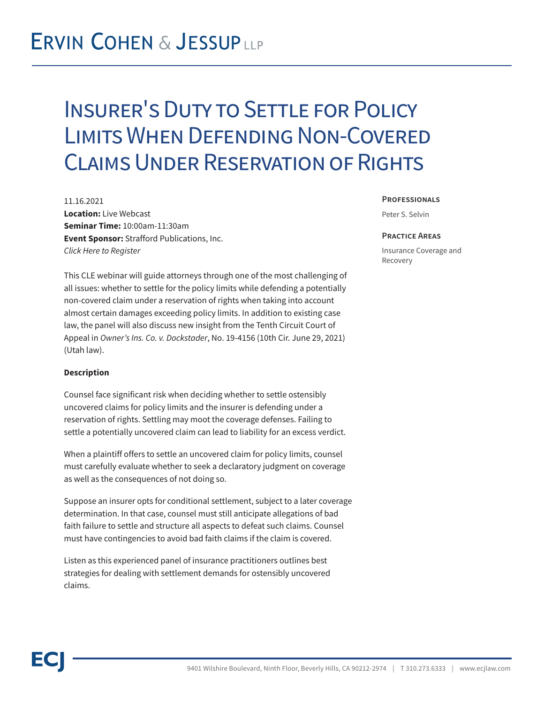## **ERVIN COHEN & JESSUPLLP**

## Insurer's Duty to Settle for Policy Limits When Defending Non-Covered Claims Under Reservation of Rights

11.16.2021 **Location:** Live Webcast **Seminar Time:** 10:00am-11:30am **Event Sponsor:** Strafford Publications, Inc. *Click Here to Register*

This CLE webinar will guide attorneys through one of the most challenging of all issues: whether to settle for the policy limits while defending a potentially non-covered claim under a reservation of rights when taking into account almost certain damages exceeding policy limits. In addition to existing case law, the panel will also discuss new insight from the Tenth Circuit Court of Appeal in *Owner's Ins. Co. v. Dockstader*, No. 19-4156 (10th Cir. June 29, 2021) (Utah law).

### **Description**

Counsel face significant risk when deciding whether to settle ostensibly uncovered claims for policy limits and the insurer is defending under a reservation of rights. Settling may moot the coverage defenses. Failing to settle a potentially uncovered claim can lead to liability for an excess verdict.

When a plaintiff offers to settle an uncovered claim for policy limits, counsel must carefully evaluate whether to seek a declaratory judgment on coverage as well as the consequences of not doing so.

Suppose an insurer opts for conditional settlement, subject to a later coverage determination. In that case, counsel must still anticipate allegations of bad faith failure to settle and structure all aspects to defeat such claims. Counsel must have contingencies to avoid bad faith claims if the claim is covered.

Listen as this experienced panel of insurance practitioners outlines best strategies for dealing with settlement demands for ostensibly uncovered claims.

#### **Professionals**

Peter S. Selvin

#### **Practice Areas**

Insurance Coverage and Recovery